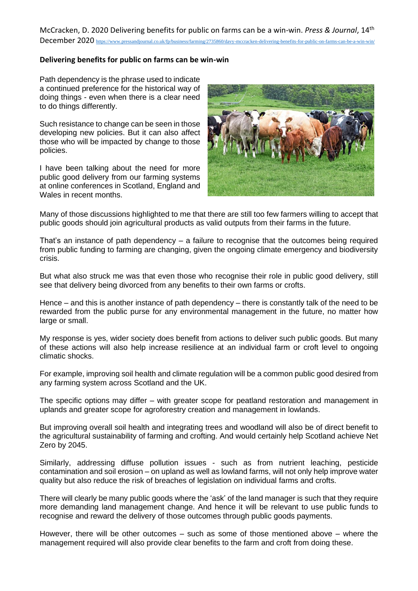McCracken, D. 2020 Delivering benefits for public on farms can be a win-win. *Press & Journal*, 14th December 2020 <https://www.pressandjournal.co.uk/fp/business/farming/2735860/davy-mccracken-delivering-benefits-for-public-on-farms-can-be-a-win-win/>

## **Delivering benefits for public on farms can be win-win**

Path dependency is the phrase used to indicate a continued preference for the historical way of doing things - even when there is a clear need to do things differently.

Such resistance to change can be seen in those developing new policies. But it can also affect those who will be impacted by change to those policies.

I have been talking about the need for more public good delivery from our farming systems at online conferences in Scotland, England and Wales in recent months.



Many of those discussions highlighted to me that there are still too few farmers willing to accept that public goods should join agricultural products as valid outputs from their farms in the future.

That's an instance of path dependency – a failure to recognise that the outcomes being required from public funding to farming are changing, given the ongoing climate emergency and biodiversity crisis.

But what also struck me was that even those who recognise their role in public good delivery, still see that delivery being divorced from any benefits to their own farms or crofts.

Hence – and this is another instance of path dependency – there is constantly talk of the need to be rewarded from the public purse for any environmental management in the future, no matter how large or small.

My response is yes, wider society does benefit from actions to deliver such public goods. But many of these actions will also help increase resilience at an individual farm or croft level to ongoing climatic shocks.

For example, improving soil health and climate regulation will be a common public good desired from any farming system across Scotland and the UK.

The specific options may differ – with greater scope for peatland restoration and management in uplands and greater scope for agroforestry creation and management in lowlands.

But improving overall soil health and integrating trees and woodland will also be of direct benefit to the agricultural sustainability of farming and crofting. And would certainly help Scotland achieve Net Zero by 2045.

Similarly, addressing diffuse pollution issues - such as from nutrient leaching, pesticide contamination and soil erosion – on upland as well as lowland farms, will not only help improve water quality but also reduce the risk of breaches of legislation on individual farms and crofts.

There will clearly be many public goods where the 'ask' of the land manager is such that they require more demanding land management change. And hence it will be relevant to use public funds to recognise and reward the delivery of those outcomes through public goods payments.

However, there will be other outcomes – such as some of those mentioned above – where the management required will also provide clear benefits to the farm and croft from doing these.